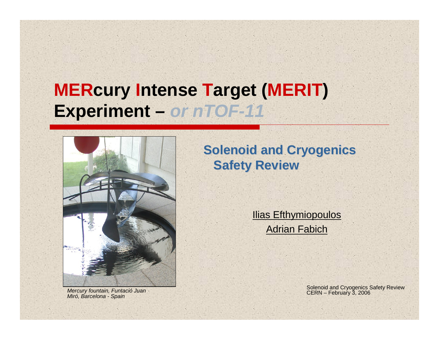# **MERcury Intense Target (MERIT) Experiment –** *or nTOF-11*



**Solenoid and Cryogenics Safety Review** 

> **Ilias Efthymiopoulos** Adrian Fabich

Solenoid and Cryogenics Safety Review *Mercury fountain, Funtació Juan* CERN – February 3, 2006 *Miró, Barcelona - Spain*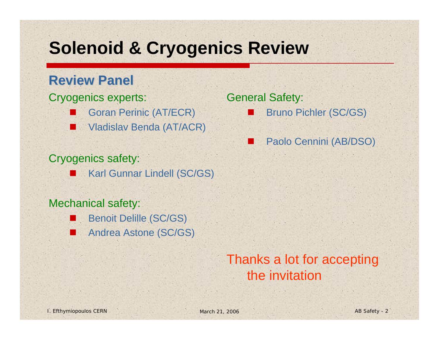# **Solenoid & Cryogenics Review**

## **Review Panel Review Panel**

### Cryogenics experts:

- Goran Perinic (AT/ECR)
- П Vladislav Benda (AT/ACR)

## Cryogenics safety:

Karl Gunnar Lindell (SC/GS)

### Mechanical safety:

- Г Benoit Delille (SC/GS)
- Andrea Astone (SC/GS)

### General Safety:

- Bruno Pichler (SC/GS)
- Paolo Cennini (AB/DSO)

# Thanks a lot for accepting the invitation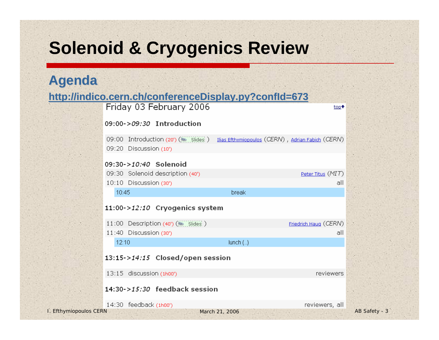# **Solenoid & Cryogenics Review**

## **Agenda**

### **http://indico.cern.ch/conferenceDisplay.py?confId=673 http://indico.cern.ch/conferenceDisplay.py?confId=673**

|                            | Friday 03 February 2006                                       | top <sup>+</sup>                                  |               |
|----------------------------|---------------------------------------------------------------|---------------------------------------------------|---------------|
|                            | 09:00-> <i>09:30</i> Introduction                             |                                                   |               |
|                            | 09:00 Introduction (20') (Salides )<br>09:20 Discussion (10') | Ilias Efthymiopoulos (CERN), Adrian Fabich (CERN) |               |
|                            | 09:30->10:40 Solenoid                                         |                                                   |               |
|                            | 09:30 Solenoid description (40')                              | Peter Titus (MIT)                                 |               |
|                            | 10:10 Discussion (30')                                        | all                                               |               |
|                            | 10:45                                                         | break                                             |               |
|                            | 11:00->12:10 Cryogenics system                                |                                                   |               |
|                            | 11:00 Description $(40^{\circ})$ ( $\ge$ Slides)              | Friedrich Haug (CERN)                             |               |
|                            | 11:40 Discussion (30')                                        | all                                               |               |
|                            | 12:10                                                         | $lunch$ $(.)$                                     |               |
|                            | 13:15->14:15 Closed/open session                              |                                                   |               |
|                            | 13:15 discussion (1h00')                                      | reviewers                                         |               |
|                            | 14:30->15:30 feedback session                                 |                                                   |               |
|                            | 14:30 feedback (1h00')                                        | reviewers, all                                    |               |
| <b>Efthymiopoulos CERN</b> |                                                               | March 21, 2006                                    | AB Safety - 3 |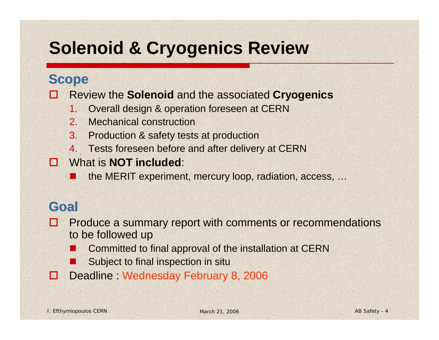# **Solenoid & Cryogenics Review**

## **Scope**

B Review the **Solenoid** and the associated **Cryogenics**

- 1.Overall design & operation foreseen at CERN
- $2^{\circ}$ Mechanical construction
- 3. Production & safety tests at production
- 4.Tests foreseen before and after delivery at CERN
- What is **NOT included**:
	- the MERIT experiment, mercury loop, radiation, access, …

## **Goal**

**AND I**  Produce a summary report with comments or recommendations to be followed up

- Committed to final approval of the installation at CERN
- Subject to final inspection in situ
- **Part** Deadline Wednesday February 8, 2006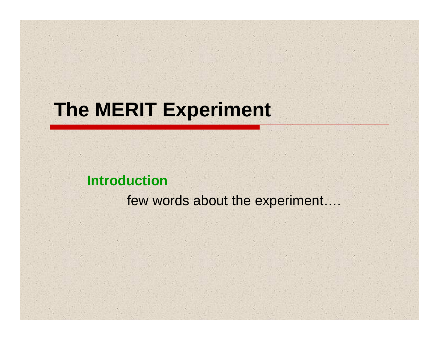# **The MERIT Experiment**

## **Introduction**

few words about the experiment….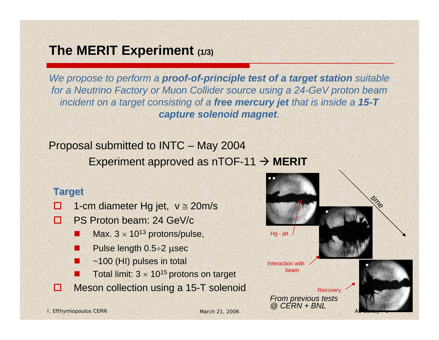## **The MERIT Experiment (1/3)**

*We propose to perform a proof-of-principle test of a target station suitable for a Neutrino Factory or Muon Collider source using a 24-GeV proton beam incident on a target consisting of a free mercury jet that is inside a 15-T capture solenoid magnet.*

Proposal submitted to INTC – May 2004 Experiment approved as  $nTOF-11 \rightarrow MERT$ 

### **Target**

- $\blacksquare$ 1-cm diameter Hg jet,  $v \approx 20 \text{m/s}$
- $\Box$  PS Proton beam: 24 GeV/c
	- $\mathbb{R}^2$ Max.  $3 \times 10^{13}$  protons/pulse,
	- $\mathbb{R}^2$ Pulse length 0.5÷2 μsec
	- M. ~100 (HI) pulses in total
	- $\mathbb{R}^2$ Total limit:  $3 \times 10^{15}$  protons on target
- п Meson collection using a 15-T solenoid

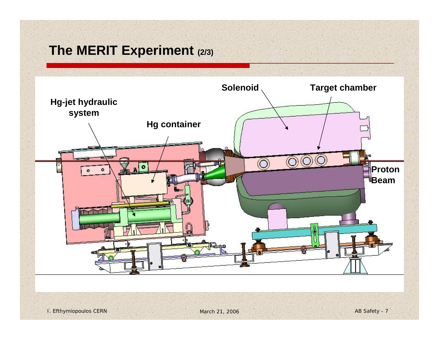## **The MERIT Experiment (2/3)**

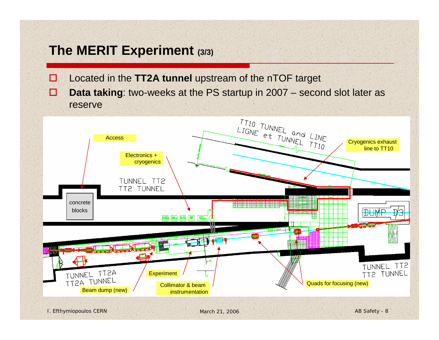## **The MERIT Experiment (3/3)**

- $\Box$ Located in the **TT2A tunnel** upstream of the nTOF target
- $\Box$  **Data taking**: two-weeks at the PS startup in 2007 – second slot later as reserve

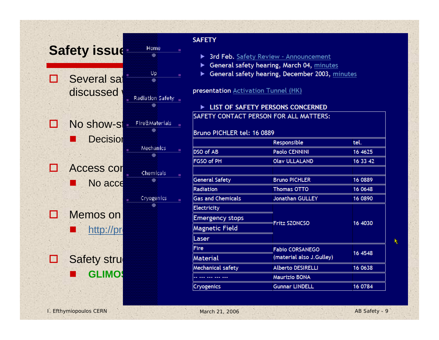

| <b>SAFETY</b>                                                                                                                                                                                                                        |                            |          |  |  |
|--------------------------------------------------------------------------------------------------------------------------------------------------------------------------------------------------------------------------------------|----------------------------|----------|--|--|
| > 3rd Feb. Safety Review - Announcement<br>General safety hearing, March 04, minutes<br>General safety hearing, December 2003, minutes                                                                                               |                            |          |  |  |
| <b>presentation</b> Activation Tunnel (HK)                                                                                                                                                                                           |                            |          |  |  |
| <b>EXAMPLE THE EXAMPLE THE EXAMPLE THE EXAMPLE THE EXAMPLE THE EXAMPLE THE EXAMPLE THE EXAMPLE THE EXAMPLE THE EXAMPLE THE EXAMPLE THE EXAMPLE THE EXAMPLE THE EXAMPLE THE EXAMPLE THE EXAMPLE THE EXAMPLE THE EXAMPLE THE EXAMP</b> |                            |          |  |  |
| SAFETY CONTACT PERSON FOR ALL MATTERS:                                                                                                                                                                                               |                            |          |  |  |
|                                                                                                                                                                                                                                      | Bruno PICHLER tel: 16 0889 |          |  |  |
|                                                                                                                                                                                                                                      | Responsible                | tel.     |  |  |
| DSO of AB                                                                                                                                                                                                                            | <b>Paolo CENNINI</b>       | 16 4625  |  |  |
| FGSO of PH                                                                                                                                                                                                                           | <b>Olav ULLALAND</b>       | 16 33 42 |  |  |
|                                                                                                                                                                                                                                      |                            |          |  |  |
| <b>General Safety</b>                                                                                                                                                                                                                | <b>Bruno PICHLER</b>       | 16 0889  |  |  |
| Radiation                                                                                                                                                                                                                            | <b>Thomas OTTO</b>         | 16 0648  |  |  |
| <b>Gas and Chemicals</b>                                                                                                                                                                                                             | <b>Jonathan GULLEY</b>     | 16 0890  |  |  |
| Electricity                                                                                                                                                                                                                          |                            |          |  |  |
| <b>Emergency stops</b>                                                                                                                                                                                                               |                            |          |  |  |
| <b>Magnetic Field</b>                                                                                                                                                                                                                | <b>Fritz SZONCSO</b>       | 16 4030  |  |  |
| Laser                                                                                                                                                                                                                                |                            |          |  |  |
| <b>Fire</b>                                                                                                                                                                                                                          | <b>Fabio CORSANEGO</b>     |          |  |  |
| Material                                                                                                                                                                                                                             | (material also J.Gulley)   | 16 4548  |  |  |
| Mechanical safety                                                                                                                                                                                                                    | <b>Alberto DESIRELLI</b>   | 16 0638  |  |  |
|                                                                                                                                                                                                                                      | <b>Maurizio BONA</b>       |          |  |  |
| Cryogenics                                                                                                                                                                                                                           | <b>Gunnar LINDELL</b>      | 16 0784  |  |  |

ĸ